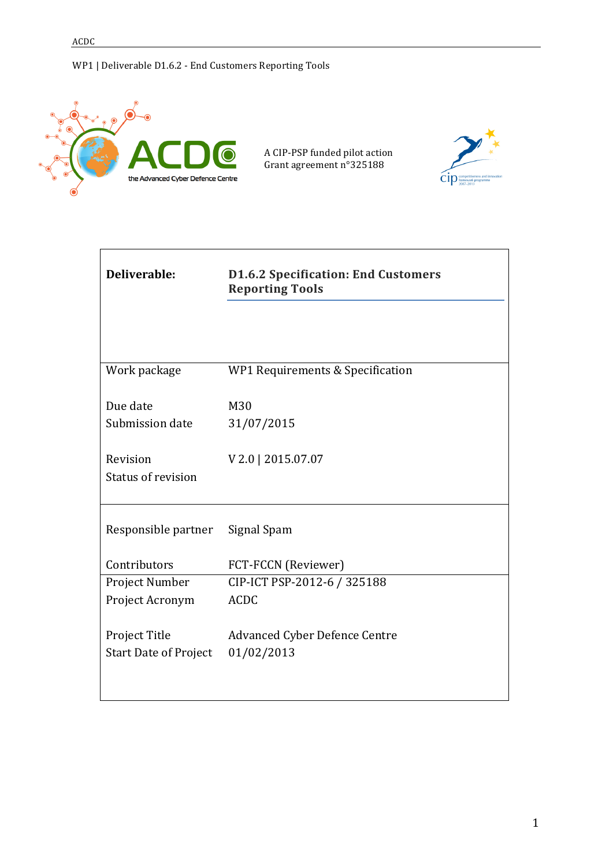

| Deliverable:                                  | <b>D1.6.2 Specification: End Customers</b><br><b>Reporting Tools</b> |  |  |
|-----------------------------------------------|----------------------------------------------------------------------|--|--|
|                                               |                                                                      |  |  |
| Work package                                  | WP1 Requirements & Specification                                     |  |  |
| Due date                                      | M30                                                                  |  |  |
| Submission date                               | 31/07/2015                                                           |  |  |
| Revision<br>Status of revision                | V 2.0   2015.07.07                                                   |  |  |
| Responsible partner                           | Signal Spam                                                          |  |  |
| Contributors                                  | FCT-FCCN (Reviewer)                                                  |  |  |
| Project Number                                | CIP-ICT PSP-2012-6 / 325188                                          |  |  |
| Project Acronym                               | <b>ACDC</b>                                                          |  |  |
| Project Title<br><b>Start Date of Project</b> | <b>Advanced Cyber Defence Centre</b><br>01/02/2013                   |  |  |
|                                               |                                                                      |  |  |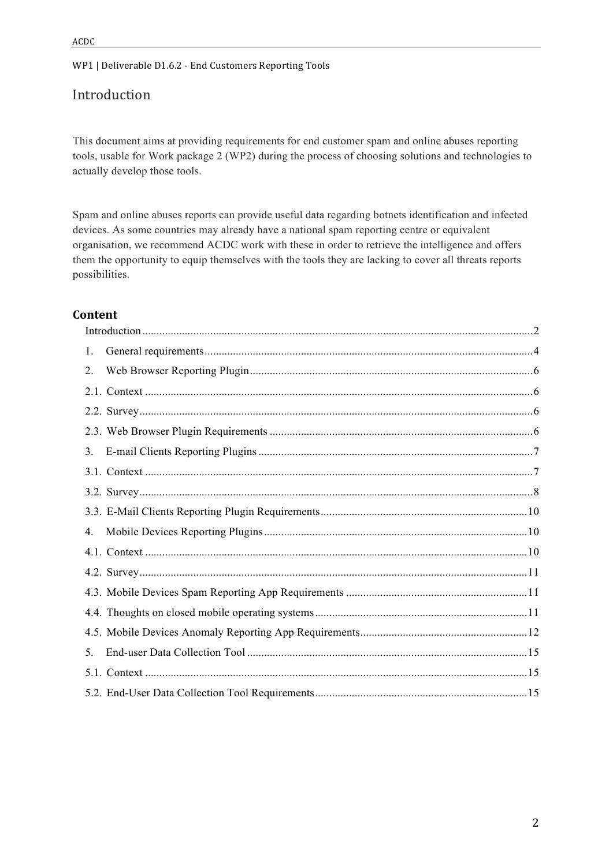# Introduction

This document aims at providing requirements for end customer spam and online abuses reporting tools, usable for Work package 2 (WP2) during the process of choosing solutions and technologies to actually develop those tools.

Spam and online abuses reports can provide useful data regarding botnets identification and infected devices. As some countries may already have a national spam reporting centre or equivalent organisation, we recommend ACDC work with these in order to retrieve the intelligence and offers them the opportunity to equip themselves with the tools they are lacking to cover all threats reports possibilities.

#### **Content**

| 1. |  |
|----|--|
| 2. |  |
|    |  |
|    |  |
|    |  |
| 3. |  |
|    |  |
|    |  |
|    |  |
| 4. |  |
|    |  |
|    |  |
|    |  |
|    |  |
|    |  |
| 5. |  |
|    |  |
|    |  |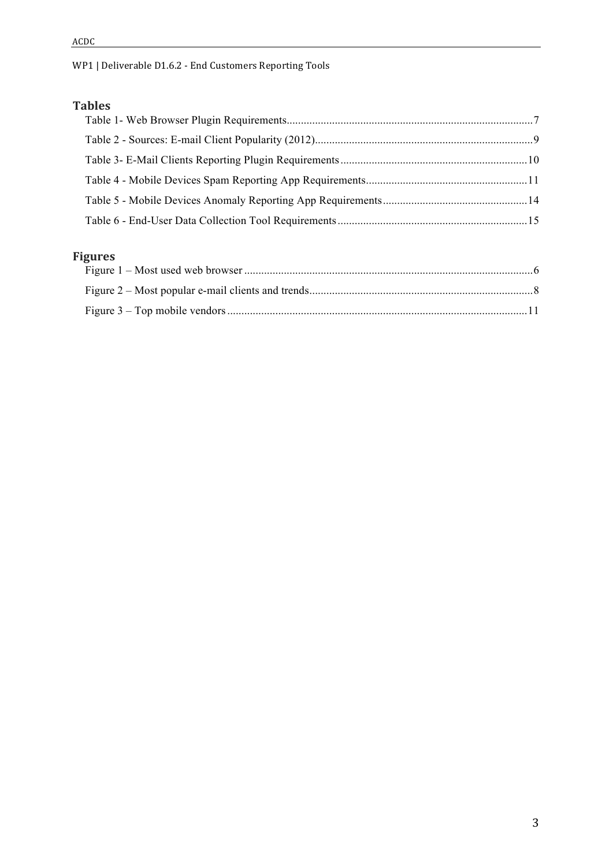## **Tables**

# **Figures**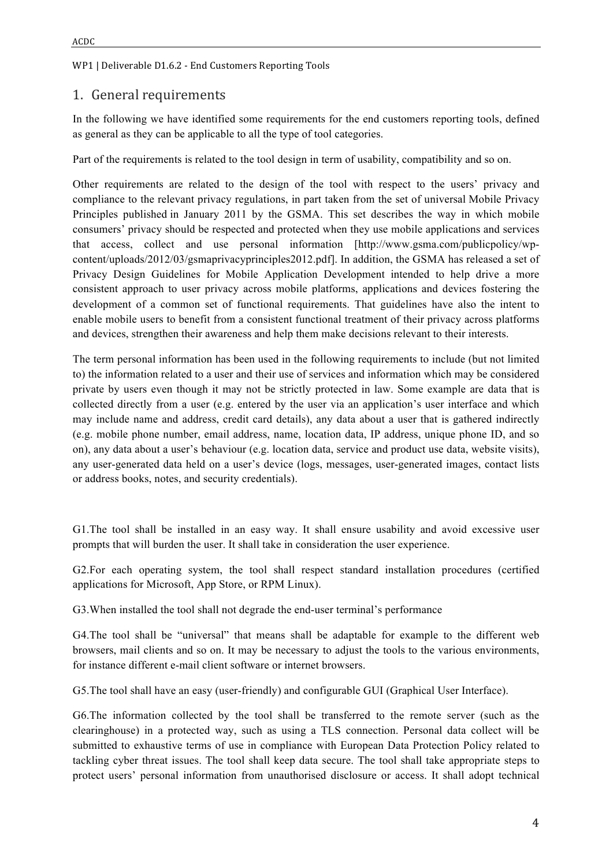### 1. General requirements

In the following we have identified some requirements for the end customers reporting tools, defined as general as they can be applicable to all the type of tool categories.

Part of the requirements is related to the tool design in term of usability, compatibility and so on.

Other requirements are related to the design of the tool with respect to the users' privacy and compliance to the relevant privacy regulations, in part taken from the set of universal Mobile Privacy Principles published in January 2011 by the GSMA. This set describes the way in which mobile consumers' privacy should be respected and protected when they use mobile applications and services that access, collect and use personal information [http://www.gsma.com/publicpolicy/wpcontent/uploads/2012/03/gsmaprivacyprinciples2012.pdf]. In addition, the GSMA has released a set of Privacy Design Guidelines for Mobile Application Development intended to help drive a more consistent approach to user privacy across mobile platforms, applications and devices fostering the development of a common set of functional requirements. That guidelines have also the intent to enable mobile users to benefit from a consistent functional treatment of their privacy across platforms and devices, strengthen their awareness and help them make decisions relevant to their interests.

The term personal information has been used in the following requirements to include (but not limited to) the information related to a user and their use of services and information which may be considered private by users even though it may not be strictly protected in law. Some example are data that is collected directly from a user (e.g. entered by the user via an application's user interface and which may include name and address, credit card details), any data about a user that is gathered indirectly (e.g. mobile phone number, email address, name, location data, IP address, unique phone ID, and so on), any data about a user's behaviour (e.g. location data, service and product use data, website visits), any user-generated data held on a user's device (logs, messages, user-generated images, contact lists or address books, notes, and security credentials).

G1.The tool shall be installed in an easy way. It shall ensure usability and avoid excessive user prompts that will burden the user. It shall take in consideration the user experience.

G2.For each operating system, the tool shall respect standard installation procedures (certified applications for Microsoft, App Store, or RPM Linux).

G3.When installed the tool shall not degrade the end-user terminal's performance

G4.The tool shall be "universal" that means shall be adaptable for example to the different web browsers, mail clients and so on. It may be necessary to adjust the tools to the various environments, for instance different e-mail client software or internet browsers.

G5.The tool shall have an easy (user-friendly) and configurable GUI (Graphical User Interface).

G6.The information collected by the tool shall be transferred to the remote server (such as the clearinghouse) in a protected way, such as using a TLS connection. Personal data collect will be submitted to exhaustive terms of use in compliance with European Data Protection Policy related to tackling cyber threat issues. The tool shall keep data secure. The tool shall take appropriate steps to protect users' personal information from unauthorised disclosure or access. It shall adopt technical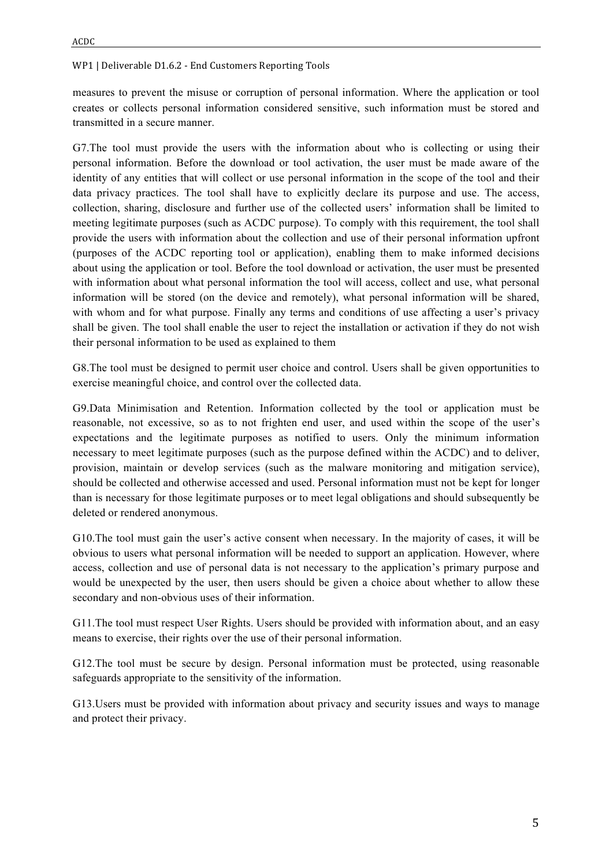measures to prevent the misuse or corruption of personal information. Where the application or tool creates or collects personal information considered sensitive, such information must be stored and transmitted in a secure manner.

G7.The tool must provide the users with the information about who is collecting or using their personal information. Before the download or tool activation, the user must be made aware of the identity of any entities that will collect or use personal information in the scope of the tool and their data privacy practices. The tool shall have to explicitly declare its purpose and use. The access, collection, sharing, disclosure and further use of the collected users' information shall be limited to meeting legitimate purposes (such as ACDC purpose). To comply with this requirement, the tool shall provide the users with information about the collection and use of their personal information upfront (purposes of the ACDC reporting tool or application), enabling them to make informed decisions about using the application or tool. Before the tool download or activation, the user must be presented with information about what personal information the tool will access, collect and use, what personal information will be stored (on the device and remotely), what personal information will be shared, with whom and for what purpose. Finally any terms and conditions of use affecting a user's privacy shall be given. The tool shall enable the user to reject the installation or activation if they do not wish their personal information to be used as explained to them

G8.The tool must be designed to permit user choice and control. Users shall be given opportunities to exercise meaningful choice, and control over the collected data.

G9.Data Minimisation and Retention. Information collected by the tool or application must be reasonable, not excessive, so as to not frighten end user, and used within the scope of the user's expectations and the legitimate purposes as notified to users. Only the minimum information necessary to meet legitimate purposes (such as the purpose defined within the ACDC) and to deliver, provision, maintain or develop services (such as the malware monitoring and mitigation service), should be collected and otherwise accessed and used. Personal information must not be kept for longer than is necessary for those legitimate purposes or to meet legal obligations and should subsequently be deleted or rendered anonymous.

G10. The tool must gain the user's active consent when necessary. In the majority of cases, it will be obvious to users what personal information will be needed to support an application. However, where access, collection and use of personal data is not necessary to the application's primary purpose and would be unexpected by the user, then users should be given a choice about whether to allow these secondary and non-obvious uses of their information.

G11.The tool must respect User Rights. Users should be provided with information about, and an easy means to exercise, their rights over the use of their personal information.

G12.The tool must be secure by design. Personal information must be protected, using reasonable safeguards appropriate to the sensitivity of the information.

G13.Users must be provided with information about privacy and security issues and ways to manage and protect their privacy.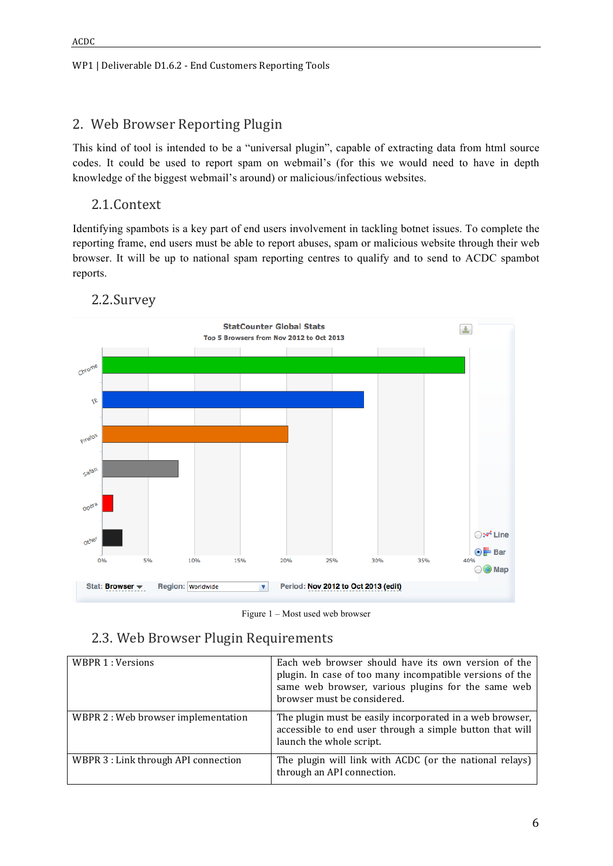# 2. Web Browser Reporting Plugin

This kind of tool is intended to be a "universal plugin", capable of extracting data from html source codes. It could be used to report spam on webmail's (for this we would need to have in depth knowledge of the biggest webmail's around) or malicious/infectious websites.

## 2.1.Context

Identifying spambots is a key part of end users involvement in tackling botnet issues. To complete the reporting frame, end users must be able to report abuses, spam or malicious website through their web browser. It will be up to national spam reporting centres to qualify and to send to ACDC spambot reports.



# 2.2.Survey

Figure 1 – Most used web browser

## 2.3. Web Browser Plugin Requirements

| WBPR 1 : Versions                    | Each web browser should have its own version of the<br>plugin. In case of too many incompatible versions of the<br>same web browser, various plugins for the same web<br>browser must be considered. |
|--------------------------------------|------------------------------------------------------------------------------------------------------------------------------------------------------------------------------------------------------|
| WBPR 2: Web browser implementation   | The plugin must be easily incorporated in a web browser,<br>accessible to end user through a simple button that will<br>launch the whole script.                                                     |
| WBPR 3 : Link through API connection | The plugin will link with ACDC (or the national relays)<br>through an API connection.                                                                                                                |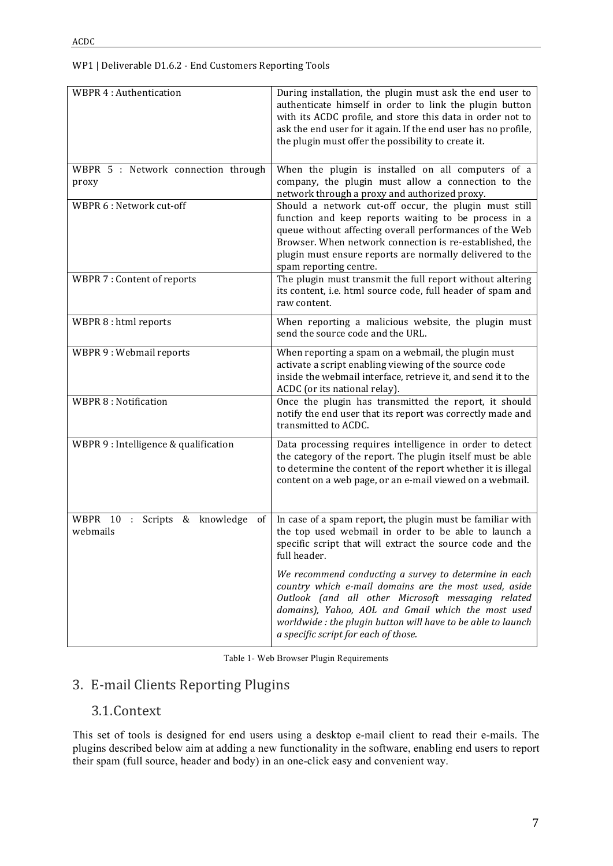| <b>WBPR 4: Authentication</b>                                          | During installation, the plugin must ask the end user to<br>authenticate himself in order to link the plugin button<br>with its ACDC profile, and store this data in order not to<br>ask the end user for it again. If the end user has no profile,<br>the plugin must offer the possibility to create it.                        |  |  |
|------------------------------------------------------------------------|-----------------------------------------------------------------------------------------------------------------------------------------------------------------------------------------------------------------------------------------------------------------------------------------------------------------------------------|--|--|
| WBPR 5 : Network connection through<br>proxy                           | When the plugin is installed on all computers of a<br>company, the plugin must allow a connection to the<br>network through a proxy and authorized proxy.                                                                                                                                                                         |  |  |
| WBPR 6 : Network cut-off                                               | Should a network cut-off occur, the plugin must still<br>function and keep reports waiting to be process in a<br>queue without affecting overall performances of the Web<br>Browser. When network connection is re-established, the<br>plugin must ensure reports are normally delivered to the<br>spam reporting centre.         |  |  |
| WBPR 7 : Content of reports                                            | The plugin must transmit the full report without altering<br>its content, i.e. html source code, full header of spam and<br>raw content.                                                                                                                                                                                          |  |  |
| WBPR 8 : html reports                                                  | When reporting a malicious website, the plugin must<br>send the source code and the URL.                                                                                                                                                                                                                                          |  |  |
| WBPR 9: Webmail reports                                                | When reporting a spam on a webmail, the plugin must<br>activate a script enabling viewing of the source code<br>inside the webmail interface, retrieve it, and send it to the<br>ACDC (or its national relay).                                                                                                                    |  |  |
| <b>WBPR 8: Notification</b>                                            | Once the plugin has transmitted the report, it should<br>notify the end user that its report was correctly made and<br>transmitted to ACDC.                                                                                                                                                                                       |  |  |
| WBPR 9 : Intelligence & qualification                                  | Data processing requires intelligence in order to detect<br>the category of the report. The plugin itself must be able<br>to determine the content of the report whether it is illegal<br>content on a web page, or an e-mail viewed on a webmail.                                                                                |  |  |
| WBPR<br>10<br>& knowledge<br>$\mathbf{L}$<br>Scripts<br>οf<br>webmails | In case of a spam report, the plugin must be familiar with<br>the top used webmail in order to be able to launch a<br>specific script that will extract the source code and the<br>full header.                                                                                                                                   |  |  |
|                                                                        | We recommend conducting a survey to determine in each<br>country which e-mail domains are the most used, aside<br>Outlook (and all other Microsoft messaging related<br>domains), Yahoo, AOL and Gmail which the most used<br>worldwide: the plugin button will have to be able to launch<br>a specific script for each of those. |  |  |

# 3. E-mail Clients Reporting Plugins

### 3.1.Context

This set of tools is designed for end users using a desktop e-mail client to read their e-mails. The plugins described below aim at adding a new functionality in the software, enabling end users to report their spam (full source, header and body) in an one-click easy and convenient way.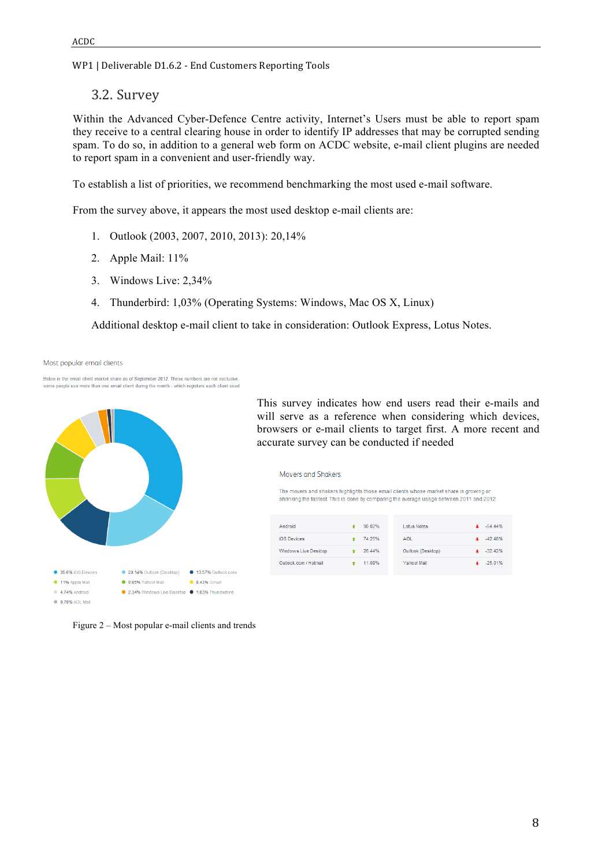3.2. Survey

Within the Advanced Cyber-Defence Centre activity, Internet's Users must be able to report spam they receive to a central clearing house in order to identify IP addresses that may be corrupted sending spam. To do so, in addition to a general web form on ACDC website, e-mail client plugins are needed to report spam in a convenient and user-friendly way.

To establish a list of priorities, we recommend benchmarking the most used e-mail software.

From the survey above, it appears the most used desktop e-mail clients are:

- 1. Outlook (2003, 2007, 2010, 2013): 20,14%
- 2. Apple Mail: 11%
- 3. Windows Live: 2,34%
- 4. Thunderbird: 1,03% (Operating Systems: Windows, Mac OS X, Linux)

Additional desktop e-mail client to take in consideration: Outlook Express, Lotus Notes.

Most popular email clients

Below is the email client market share as of September 2012. These numbers are not exclusi some people use more than one email client during the month - which registers each client used



Figure 2 – Most popular e-mail clients and trends

This survey indicates how end users read their e-mails and will serve as a reference when considering which devices, browsers or e-mail clients to target first. A more recent and accurate survey can be conducted if needed

**Movers and Shakers** 

The movers and shakers highlights those email clients whose market share is growing or shrinking the fastest. This is done by comparing the average usage between 2011 and 2012.

| Android               | 90.02% | <b>Lotus Notes</b> | $-54.44%$ |
|-----------------------|--------|--------------------|-----------|
| iOS Devices           | 74.25% | <b>AOL</b>         | $-42.48%$ |
| Windows Live Desktop  | 26.44% | Outlook (Desktop)  | $-32.42%$ |
| Outlook.com / Hotmail | 11.09% | Yahoo! Mail        | $-25.01%$ |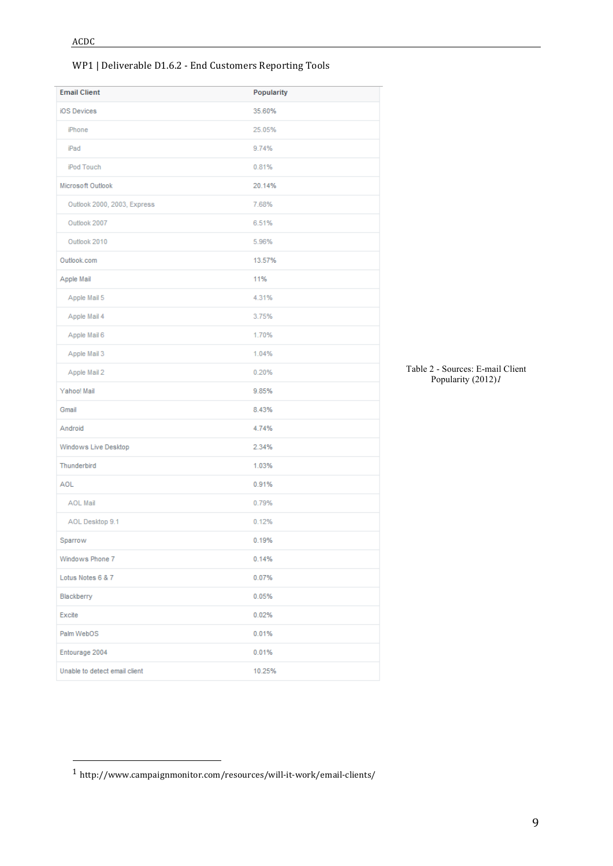| <b>Email Client</b>           | Popularity |
|-------------------------------|------------|
| iOS Devices                   | 35.60%     |
| iPhone                        | 25.05%     |
| iPad                          | 9.74%      |
| iPod Touch                    | 0.81%      |
| Microsoft Outlook             | 20.14%     |
| Outlook 2000, 2003, Express   | 7.68%      |
| Outlook 2007                  | 6.51%      |
| Outlook 2010                  | 5.96%      |
| Outlook.com                   | 13.57%     |
| Apple Mail                    | 11%        |
| Apple Mail 5                  | 4.31%      |
| Apple Mail 4                  | 3.75%      |
| Apple Mail 6                  | 1.70%      |
| Apple Mail 3                  | 1.04%      |
| Apple Mail 2                  | 0.20%      |
| Yahoo! Mail                   | 9.85%      |
| Gmail                         | 8.43%      |
| Android                       | 4.74%      |
| Windows Live Desktop          | 2.34%      |
| Thunderbird                   | 1.03%      |
| <b>AOL</b>                    | 0.91%      |
| <b>AOL Mail</b>               | 0.79%      |
| AOL Desktop 9.1               | 0.12%      |
| Sparrow                       | 0.19%      |
| Windows Phone 7               | 0.14%      |
| Lotus Notes 6 & 7             | 0.07%      |
| Blackberry                    | 0.05%      |
| Excite                        | 0.02%      |
| Palm WebOS                    | 0.01%      |
| Entourage 2004                | 0.01%      |
| Unable to detect email client | 10.25%     |
|                               |            |

Table 2 - Sources: E-mail Client Popularity (2012)*1*

 

 $^{\rm 1}$ http://www.campaignmonitor.com/resources/will-it-work/email-clients/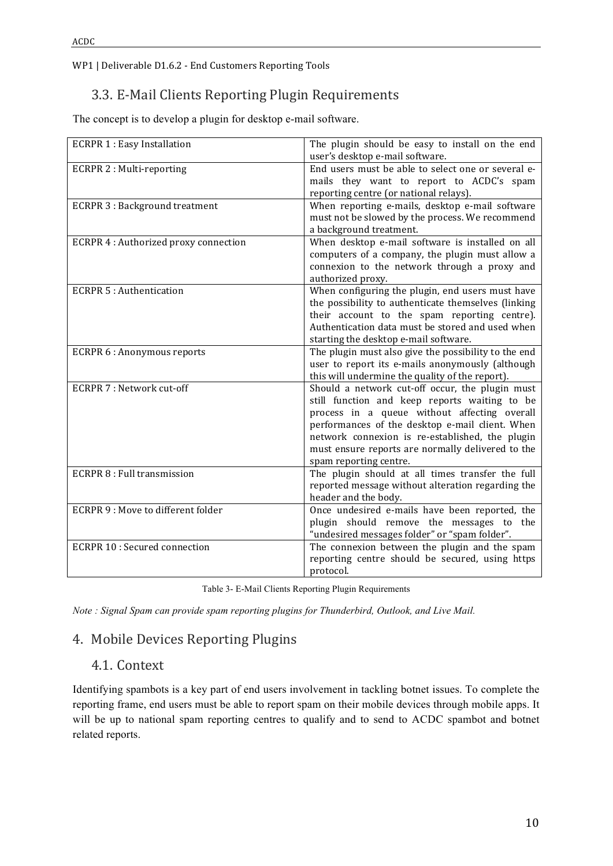# 3.3. E-Mail Clients Reporting Plugin Requirements

The concept is to develop a plugin for desktop e-mail software.

| <b>ECRPR 1: Easy Installation</b>     | The plugin should be easy to install on the end<br>user's desktop e-mail software.                                                                                                                                                                                                                                                    |  |  |
|---------------------------------------|---------------------------------------------------------------------------------------------------------------------------------------------------------------------------------------------------------------------------------------------------------------------------------------------------------------------------------------|--|--|
| <b>ECRPR 2: Multi-reporting</b>       | End users must be able to select one or several e-<br>mails they want to report to ACDC's spam<br>reporting centre (or national relays).                                                                                                                                                                                              |  |  |
| <b>ECRPR 3: Background treatment</b>  | When reporting e-mails, desktop e-mail software<br>must not be slowed by the process. We recommend<br>a background treatment.                                                                                                                                                                                                         |  |  |
| ECRPR 4 : Authorized proxy connection | When desktop e-mail software is installed on all<br>computers of a company, the plugin must allow a<br>connexion to the network through a proxy and<br>authorized proxy.                                                                                                                                                              |  |  |
| <b>ECRPR 5: Authentication</b>        | When configuring the plugin, end users must have<br>the possibility to authenticate themselves (linking<br>their account to the spam reporting centre).<br>Authentication data must be stored and used when<br>starting the desktop e-mail software.                                                                                  |  |  |
| <b>ECRPR 6: Anonymous reports</b>     | The plugin must also give the possibility to the end<br>user to report its e-mails anonymously (although<br>this will undermine the quality of the report).                                                                                                                                                                           |  |  |
| <b>ECRPR 7: Network cut-off</b>       | Should a network cut-off occur, the plugin must<br>still function and keep reports waiting to be<br>process in a queue without affecting overall<br>performances of the desktop e-mail client. When<br>network connexion is re-established, the plugin<br>must ensure reports are normally delivered to the<br>spam reporting centre. |  |  |
| <b>ECRPR 8: Full transmission</b>     | The plugin should at all times transfer the full<br>reported message without alteration regarding the<br>header and the body.                                                                                                                                                                                                         |  |  |
| ECRPR 9 : Move to different folder    | Once undesired e-mails have been reported, the<br>plugin should remove the messages to<br>the<br>"undesired messages folder" or "spam folder".                                                                                                                                                                                        |  |  |
| <b>ECRPR 10: Secured connection</b>   | The connexion between the plugin and the spam<br>reporting centre should be secured, using https<br>protocol.                                                                                                                                                                                                                         |  |  |

| Table 3- E-Mail Clients Reporting Plugin Requirements |  |  |
|-------------------------------------------------------|--|--|
|                                                       |  |  |

*Note : Signal Spam can provide spam reporting plugins for Thunderbird, Outlook, and Live Mail.* 

# 4. Mobile Devices Reporting Plugins

### 4.1. Context

Identifying spambots is a key part of end users involvement in tackling botnet issues. To complete the reporting frame, end users must be able to report spam on their mobile devices through mobile apps. It will be up to national spam reporting centres to qualify and to send to ACDC spambot and botnet related reports.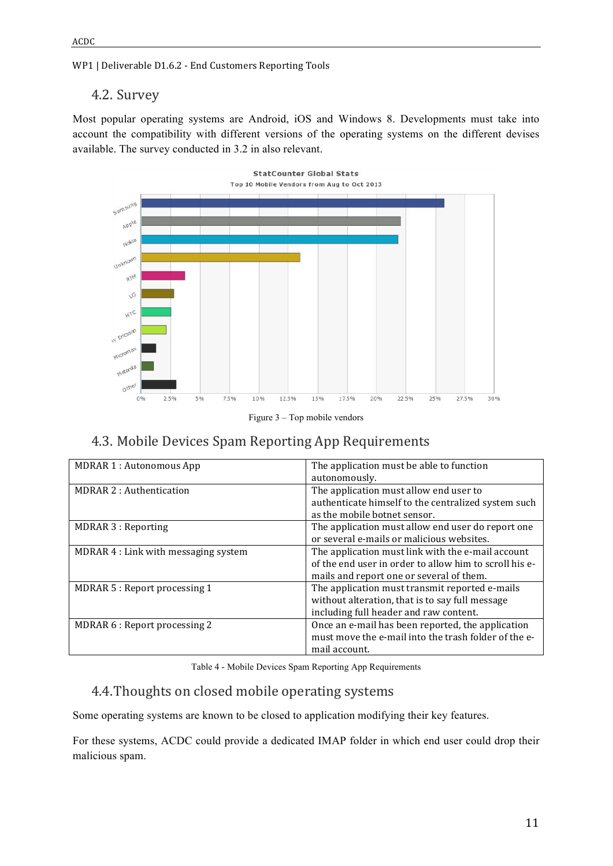### 4.2. Survey

Most popular operating systems are Android, iOS and Windows 8. Developments must take into account the compatibility with different versions of the operating systems on the different devises available. The survey conducted in 3.2 in also relevant.





# 4.3. Mobile Devices Spam Reporting App Requirements

| <b>MDRAR 1: Autonomous App</b>       | The application must be able to function<br>autonomously.                                                                                               |
|--------------------------------------|---------------------------------------------------------------------------------------------------------------------------------------------------------|
| <b>MDRAR 2: Authentication</b>       | The application must allow end user to<br>authenticate himself to the centralized system such<br>as the mobile botnet sensor.                           |
| MDRAR 3 : Reporting                  | The application must allow end user do report one<br>or several e-mails or malicious websites.                                                          |
| MDRAR 4 : Link with messaging system | The application must link with the e-mail account<br>of the end user in order to allow him to scroll his e-<br>mails and report one or several of them. |
| MDRAR 5 : Report processing 1        | The application must transmit reported e-mails<br>without alteration, that is to say full message<br>including full header and raw content.             |
| MDRAR 6 : Report processing 2        | Once an e-mail has been reported, the application<br>must move the e-mail into the trash folder of the e-<br>mail account.                              |

Table 4 - Mobile Devices Spam Reporting App Requirements

# 4.4. Thoughts on closed mobile operating systems

Some operating systems are known to be closed to application modifying their key features.

For these systems, ACDC could provide a dedicated IMAP folder in which end user could drop their malicious spam.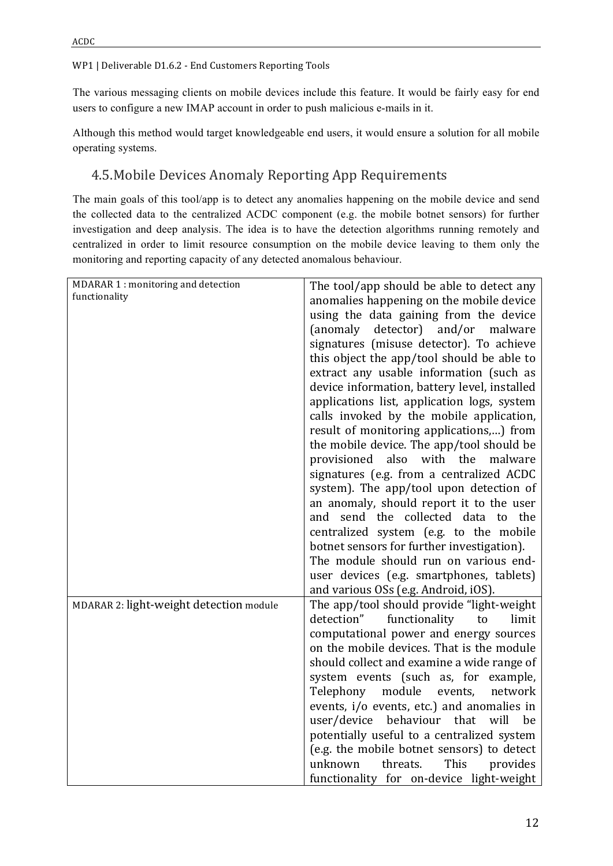The various messaging clients on mobile devices include this feature. It would be fairly easy for end users to configure a new IMAP account in order to push malicious e-mails in it.

Although this method would target knowledgeable end users, it would ensure a solution for all mobile operating systems.

# 4.5. Mobile Devices Anomaly Reporting App Requirements

The main goals of this tool/app is to detect any anomalies happening on the mobile device and send the collected data to the centralized ACDC component (e.g. the mobile botnet sensors) for further investigation and deep analysis. The idea is to have the detection algorithms running remotely and centralized in order to limit resource consumption on the mobile device leaving to them only the monitoring and reporting capacity of any detected anomalous behaviour.

| MDARAR 1 : monitoring and detection     | The tool/app should be able to detect any    |
|-----------------------------------------|----------------------------------------------|
| functionality                           |                                              |
|                                         | anomalies happening on the mobile device     |
|                                         | using the data gaining from the device       |
|                                         | (anomaly detector) and/or malware            |
|                                         | signatures (misuse detector). To achieve     |
|                                         | this object the app/tool should be able to   |
|                                         | extract any usable information (such as      |
|                                         | device information, battery level, installed |
|                                         | applications list, application logs, system  |
|                                         | calls invoked by the mobile application,     |
|                                         | result of monitoring applications,) from     |
|                                         | the mobile device. The app/tool should be    |
|                                         | provisioned also with the malware            |
|                                         | signatures (e.g. from a centralized ACDC     |
|                                         | system). The app/tool upon detection of      |
|                                         | an anomaly, should report it to the user     |
|                                         | and send the collected data to the           |
|                                         | centralized system (e.g. to the mobile       |
|                                         | botnet sensors for further investigation).   |
|                                         | The module should run on various end-        |
|                                         | user devices (e.g. smartphones, tablets)     |
|                                         | and various OSs (e.g. Android, iOS).         |
| MDARAR 2: light-weight detection module | The app/tool should provide "light-weight"   |
|                                         | detection"<br>functionality<br>limit<br>to   |
|                                         | computational power and energy sources       |
|                                         | on the mobile devices. That is the module    |
|                                         | should collect and examine a wide range of   |
|                                         | system events (such as, for example,         |
|                                         | module<br>Telephony<br>events,<br>network    |
|                                         | events, i/o events, etc.) and anomalies in   |
|                                         | user/device behaviour that<br>will<br>be     |
|                                         | potentially useful to a centralized system   |
|                                         | (e.g. the mobile botnet sensors) to detect   |
|                                         | This<br>unknown<br>threats.<br>provides      |
|                                         | functionality for on-device light-weight     |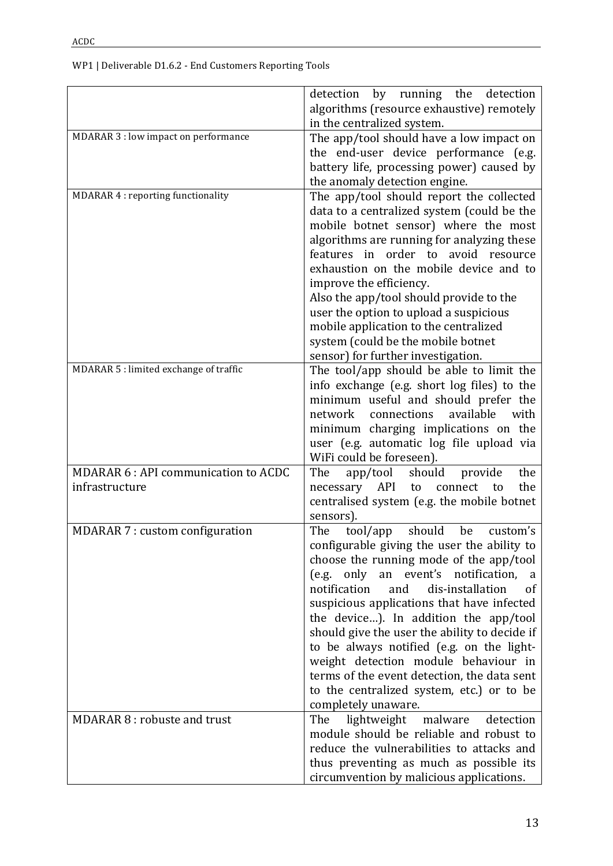|                                            | by running the<br>detection<br>detection<br>algorithms (resource exhaustive) remotely<br>in the centralized system. |
|--------------------------------------------|---------------------------------------------------------------------------------------------------------------------|
| MDARAR 3 : low impact on performance       | The app/tool should have a low impact on                                                                            |
|                                            | the end-user device performance (e.g.                                                                               |
|                                            | battery life, processing power) caused by<br>the anomaly detection engine.                                          |
| MDARAR 4 : reporting functionality         | The app/tool should report the collected                                                                            |
|                                            | data to a centralized system (could be the                                                                          |
|                                            | mobile botnet sensor) where the most                                                                                |
|                                            | algorithms are running for analyzing these                                                                          |
|                                            | features in order to avoid resource<br>exhaustion on the mobile device and to                                       |
|                                            | improve the efficiency.                                                                                             |
|                                            | Also the app/tool should provide to the                                                                             |
|                                            | user the option to upload a suspicious                                                                              |
|                                            | mobile application to the centralized                                                                               |
|                                            | system (could be the mobile botnet                                                                                  |
| MDARAR 5 : limited exchange of traffic     | sensor) for further investigation.<br>The tool/app should be able to limit the                                      |
|                                            | info exchange (e.g. short log files) to the                                                                         |
|                                            | minimum useful and should prefer the                                                                                |
|                                            | available<br>connections<br>with<br>network                                                                         |
|                                            | minimum charging implications on the                                                                                |
|                                            | user (e.g. automatic log file upload via                                                                            |
| <b>MDARAR 6: API communication to ACDC</b> | WiFi could be foreseen).<br>app/tool<br>should<br>the<br>The<br>provide                                             |
| infrastructure                             | the<br>API<br>necessary<br>to<br>connect<br>$\mathsf{to}$                                                           |
|                                            | centralised system (e.g. the mobile botnet                                                                          |
|                                            | sensors).                                                                                                           |
| <b>MDARAR 7: custom configuration</b>      | The<br>tool/app<br>should<br>be<br>custom's                                                                         |
|                                            | configurable giving the user the ability to<br>choose the running mode of the app/tool                              |
|                                            | (e.g. only an event's notification,<br>a                                                                            |
|                                            | notification<br>dis-installation<br>and<br>οf                                                                       |
|                                            | suspicious applications that have infected                                                                          |
|                                            | the device). In addition the app/tool                                                                               |
|                                            | should give the user the ability to decide if                                                                       |
|                                            | to be always notified (e.g. on the light-<br>weight detection module behaviour in                                   |
|                                            | terms of the event detection, the data sent                                                                         |
|                                            | to the centralized system, etc.) or to be                                                                           |
|                                            | completely unaware.                                                                                                 |
| MDARAR 8 : robuste and trust               | The<br>lightweight<br>malware<br>detection                                                                          |
|                                            | module should be reliable and robust to<br>reduce the vulnerabilities to attacks and                                |
|                                            | thus preventing as much as possible its                                                                             |
|                                            | circumvention by malicious applications.                                                                            |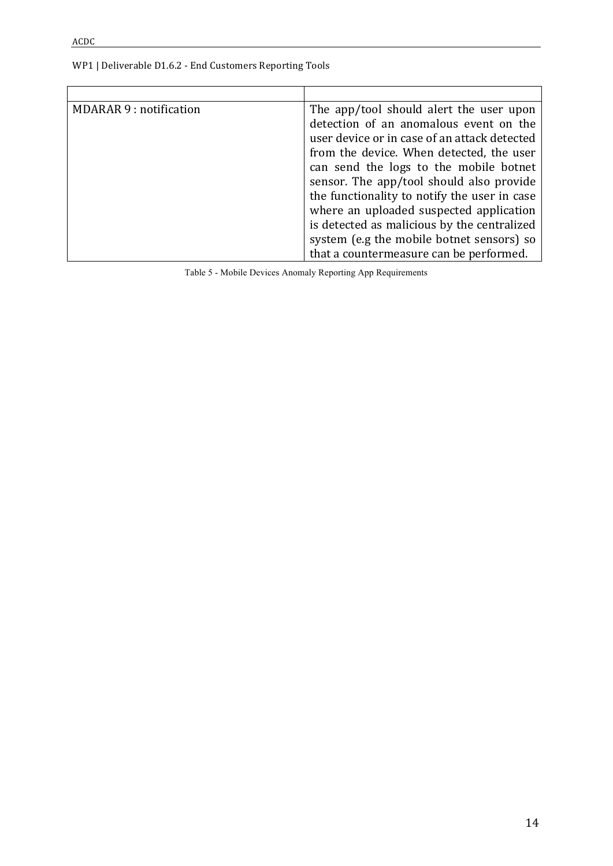| MDARAR 9 : notification | The app/tool should alert the user upon      |
|-------------------------|----------------------------------------------|
|                         | detection of an anomalous event on the       |
|                         | user device or in case of an attack detected |
|                         | from the device. When detected, the user     |
|                         | can send the logs to the mobile botnet       |
|                         | sensor. The app/tool should also provide     |
|                         | the functionality to notify the user in case |
|                         | where an uploaded suspected application      |
|                         | is detected as malicious by the centralized  |
|                         | system (e.g the mobile botnet sensors) so    |
|                         | that a countermeasure can be performed.      |

Table 5 - Mobile Devices Anomaly Reporting App Requirements